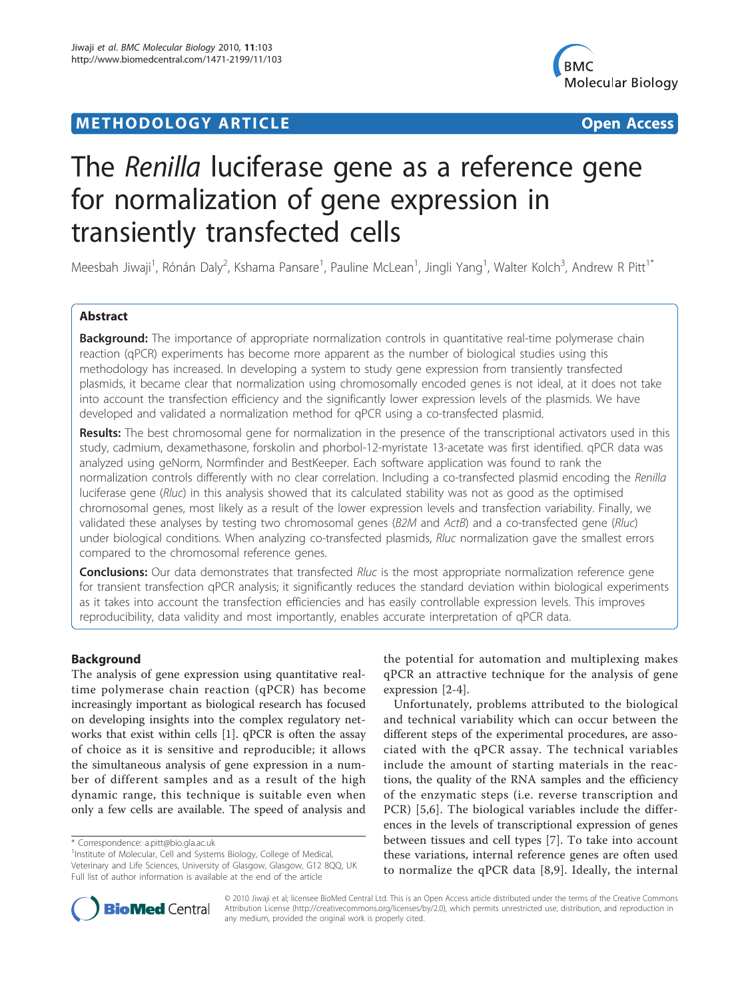## **METHODOLOGY ARTICLE Example 20 and 20 and 20 and 20 and 20 and 20 and 20 and 20 and 20 and 20 and 20 and 20 and 20 and 20 and 20 and 20 and 20 and 20 and 20 and 20 and 20 and 20 and 20 and 20 and 20 and 20 and 20 and 20**



# The Renilla luciferase gene as a reference gene for normalization of gene expression in transiently transfected cells

Meesbah Jiwaji<sup>1</sup>, Rónán Daly<sup>2</sup>, Kshama Pansare<sup>1</sup>, Pauline McLean<sup>1</sup>, Jingli Yang<sup>1</sup>, Walter Kolch<sup>3</sup>, Andrew R Pitt<sup>1\*</sup>

## Abstract

**Background:** The importance of appropriate normalization controls in quantitative real-time polymerase chain reaction (qPCR) experiments has become more apparent as the number of biological studies using this methodology has increased. In developing a system to study gene expression from transiently transfected plasmids, it became clear that normalization using chromosomally encoded genes is not ideal, at it does not take into account the transfection efficiency and the significantly lower expression levels of the plasmids. We have developed and validated a normalization method for qPCR using a co-transfected plasmid.

Results: The best chromosomal gene for normalization in the presence of the transcriptional activators used in this study, cadmium, dexamethasone, forskolin and phorbol-12-myristate 13-acetate was first identified. qPCR data was analyzed using geNorm, Normfinder and BestKeeper. Each software application was found to rank the normalization controls differently with no clear correlation. Including a co-transfected plasmid encoding the Renilla luciferase gene (Rluc) in this analysis showed that its calculated stability was not as good as the optimised chromosomal genes, most likely as a result of the lower expression levels and transfection variability. Finally, we validated these analyses by testing two chromosomal genes (B2M and ActB) and a co-transfected gene (Rluc) under biological conditions. When analyzing co-transfected plasmids, Rluc normalization gave the smallest errors compared to the chromosomal reference genes.

**Conclusions:** Our data demonstrates that transfected Rluc is the most appropriate normalization reference gene for transient transfection qPCR analysis; it significantly reduces the standard deviation within biological experiments as it takes into account the transfection efficiencies and has easily controllable expression levels. This improves reproducibility, data validity and most importantly, enables accurate interpretation of qPCR data.

## Background

The analysis of gene expression using quantitative realtime polymerase chain reaction (qPCR) has become increasingly important as biological research has focused on developing insights into the complex regulatory networks that exist within cells [\[1](#page-10-0)]. qPCR is often the assay of choice as it is sensitive and reproducible; it allows the simultaneous analysis of gene expression in a number of different samples and as a result of the high dynamic range, this technique is suitable even when only a few cells are available. The speed of analysis and

the potential for automation and multiplexing makes qPCR an attractive technique for the analysis of gene expression [\[2](#page-10-0)-[4\]](#page-10-0).

Unfortunately, problems attributed to the biological and technical variability which can occur between the different steps of the experimental procedures, are associated with the qPCR assay. The technical variables include the amount of starting materials in the reactions, the quality of the RNA samples and the efficiency of the enzymatic steps (i.e. reverse transcription and PCR) [[5,6](#page-10-0)]. The biological variables include the differences in the levels of transcriptional expression of genes between tissues and cell types [[7\]](#page-10-0). To take into account these variations, internal reference genes are often used to normalize the qPCR data [[8,9](#page-10-0)]. Ideally, the internal



© 2010 Jiwaji et al; licensee BioMed Central Ltd. This is an Open Access article distributed under the terms of the Creative Commons Attribution License [\(http://creativecommons.org/licenses/by/2.0](http://creativecommons.org/licenses/by/2.0)), which permits unrestricted use, distribution, and reproduction in any medium, provided the original work is properly cited.

<sup>\*</sup> Correspondence: [a.pitt@bio.gla.ac.uk](mailto:a.pitt@bio.gla.ac.uk)

<sup>&</sup>lt;sup>1</sup>Institute of Molecular, Cell and Systems Biology, College of Medical, Veterinary and Life Sciences, University of Glasgow, Glasgow, G12 8QQ, UK Full list of author information is available at the end of the article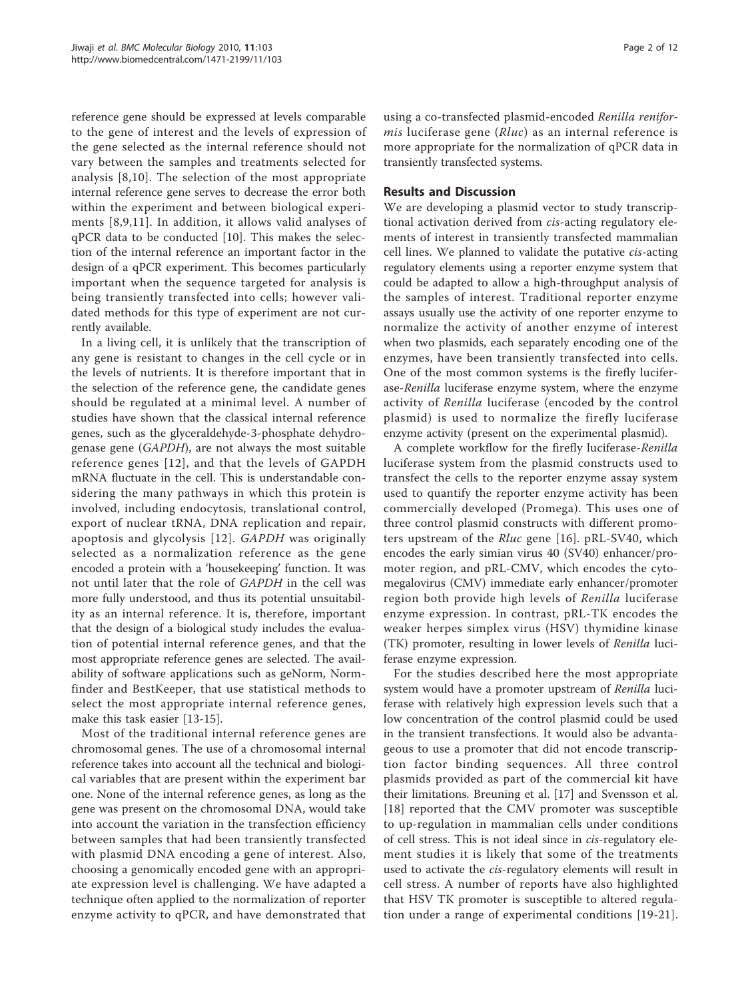reference gene should be expressed at levels comparable to the gene of interest and the levels of expression of the gene selected as the internal reference should not vary between the samples and treatments selected for analysis [[8](#page-10-0),[10\]](#page-10-0). The selection of the most appropriate internal reference gene serves to decrease the error both within the experiment and between biological experiments [[8](#page-10-0),[9,11](#page-10-0)]. In addition, it allows valid analyses of qPCR data to be conducted [[10\]](#page-10-0). This makes the selection of the internal reference an important factor in the design of a qPCR experiment. This becomes particularly important when the sequence targeted for analysis is being transiently transfected into cells; however validated methods for this type of experiment are not currently available.

In a living cell, it is unlikely that the transcription of any gene is resistant to changes in the cell cycle or in the levels of nutrients. It is therefore important that in the selection of the reference gene, the candidate genes should be regulated at a minimal level. A number of studies have shown that the classical internal reference genes, such as the glyceraldehyde-3-phosphate dehydrogenase gene (GAPDH), are not always the most suitable reference genes [[12](#page-10-0)], and that the levels of GAPDH mRNA fluctuate in the cell. This is understandable considering the many pathways in which this protein is involved, including endocytosis, translational control, export of nuclear tRNA, DNA replication and repair, apoptosis and glycolysis [[12](#page-10-0)]. GAPDH was originally selected as a normalization reference as the gene encoded a protein with a 'housekeeping' function. It was not until later that the role of GAPDH in the cell was more fully understood, and thus its potential unsuitability as an internal reference. It is, therefore, important that the design of a biological study includes the evaluation of potential internal reference genes, and that the most appropriate reference genes are selected. The availability of software applications such as geNorm, Normfinder and BestKeeper, that use statistical methods to select the most appropriate internal reference genes, make this task easier [[13](#page-10-0)-[15\]](#page-10-0).

Most of the traditional internal reference genes are chromosomal genes. The use of a chromosomal internal reference takes into account all the technical and biological variables that are present within the experiment bar one. None of the internal reference genes, as long as the gene was present on the chromosomal DNA, would take into account the variation in the transfection efficiency between samples that had been transiently transfected with plasmid DNA encoding a gene of interest. Also, choosing a genomically encoded gene with an appropriate expression level is challenging. We have adapted a technique often applied to the normalization of reporter enzyme activity to qPCR, and have demonstrated that using a co-transfected plasmid-encoded Renilla renifor*mis* luciferase gene  $(Rluc)$  as an internal reference is more appropriate for the normalization of qPCR data in transiently transfected systems.

#### Results and Discussion

We are developing a plasmid vector to study transcriptional activation derived from cis-acting regulatory elements of interest in transiently transfected mammalian cell lines. We planned to validate the putative cis-acting regulatory elements using a reporter enzyme system that could be adapted to allow a high-throughput analysis of the samples of interest. Traditional reporter enzyme assays usually use the activity of one reporter enzyme to normalize the activity of another enzyme of interest when two plasmids, each separately encoding one of the enzymes, have been transiently transfected into cells. One of the most common systems is the firefly luciferase-Renilla luciferase enzyme system, where the enzyme activity of Renilla luciferase (encoded by the control plasmid) is used to normalize the firefly luciferase enzyme activity (present on the experimental plasmid).

A complete workflow for the firefly luciferase-Renilla luciferase system from the plasmid constructs used to transfect the cells to the reporter enzyme assay system used to quantify the reporter enzyme activity has been commercially developed (Promega). This uses one of three control plasmid constructs with different promoters upstream of the Rluc gene [[16\]](#page-10-0). pRL-SV40, which encodes the early simian virus 40 (SV40) enhancer/promoter region, and pRL-CMV, which encodes the cytomegalovirus (CMV) immediate early enhancer/promoter region both provide high levels of Renilla luciferase enzyme expression. In contrast, pRL-TK encodes the weaker herpes simplex virus (HSV) thymidine kinase (TK) promoter, resulting in lower levels of Renilla luciferase enzyme expression.

For the studies described here the most appropriate system would have a promoter upstream of Renilla luciferase with relatively high expression levels such that a low concentration of the control plasmid could be used in the transient transfections. It would also be advantageous to use a promoter that did not encode transcription factor binding sequences. All three control plasmids provided as part of the commercial kit have their limitations. Breuning et al. [\[17\]](#page-10-0) and Svensson et al. [[18](#page-10-0)] reported that the CMV promoter was susceptible to up-regulation in mammalian cells under conditions of cell stress. This is not ideal since in cis-regulatory element studies it is likely that some of the treatments used to activate the *cis-regulatory elements will result in* cell stress. A number of reports have also highlighted that HSV TK promoter is susceptible to altered regulation under a range of experimental conditions [[19](#page-10-0)-[21](#page-10-0)].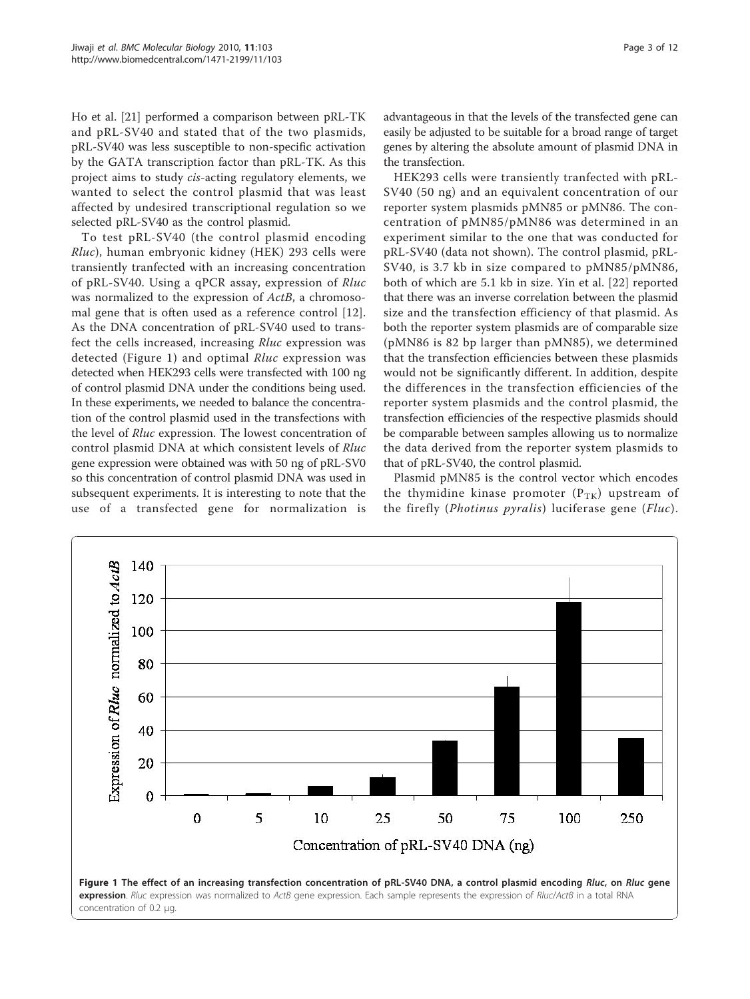Ho et al. [\[21\]](#page-10-0) performed a comparison between pRL-TK and pRL-SV40 and stated that of the two plasmids, pRL-SV40 was less susceptible to non-specific activation by the GATA transcription factor than pRL-TK. As this project aims to study cis-acting regulatory elements, we wanted to select the control plasmid that was least affected by undesired transcriptional regulation so we selected pRL-SV40 as the control plasmid.

To test pRL-SV40 (the control plasmid encoding Rluc), human embryonic kidney (HEK) 293 cells were transiently tranfected with an increasing concentration of pRL-SV40. Using a qPCR assay, expression of Rluc was normalized to the expression of ActB, a chromosomal gene that is often used as a reference control [[12](#page-10-0)]. As the DNA concentration of pRL-SV40 used to transfect the cells increased, increasing Rluc expression was detected (Figure 1) and optimal Rluc expression was detected when HEK293 cells were transfected with 100 ng of control plasmid DNA under the conditions being used. In these experiments, we needed to balance the concentration of the control plasmid used in the transfections with the level of Rluc expression. The lowest concentration of control plasmid DNA at which consistent levels of Rluc gene expression were obtained was with 50 ng of pRL-SV0 so this concentration of control plasmid DNA was used in subsequent experiments. It is interesting to note that the use of a transfected gene for normalization is

advantageous in that the levels of the transfected gene can easily be adjusted to be suitable for a broad range of target genes by altering the absolute amount of plasmid DNA in the transfection.

HEK293 cells were transiently tranfected with pRL-SV40 (50 ng) and an equivalent concentration of our reporter system plasmids pMN85 or pMN86. The concentration of pMN85/pMN86 was determined in an experiment similar to the one that was conducted for pRL-SV40 (data not shown). The control plasmid, pRL-SV40, is 3.7 kb in size compared to pMN85/pMN86, both of which are 5.1 kb in size. Yin et al. [\[22\]](#page-10-0) reported that there was an inverse correlation between the plasmid size and the transfection efficiency of that plasmid. As both the reporter system plasmids are of comparable size (pMN86 is 82 bp larger than pMN85), we determined that the transfection efficiencies between these plasmids would not be significantly different. In addition, despite the differences in the transfection efficiencies of the reporter system plasmids and the control plasmid, the transfection efficiencies of the respective plasmids should be comparable between samples allowing us to normalize the data derived from the reporter system plasmids to that of pRL-SV40, the control plasmid.

Plasmid pMN85 is the control vector which encodes the thymidine kinase promoter  $(P_{TK})$  upstream of the firefly (*Photinus pyralis*) luciferase gene (*Fluc*).



concentration of 0.2 μg.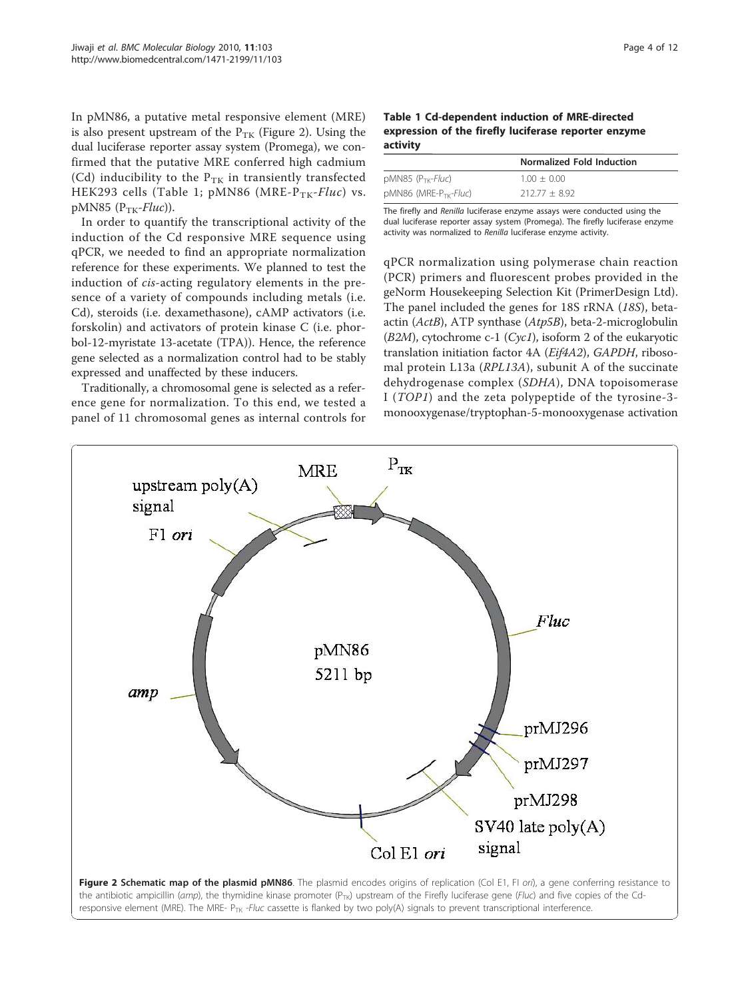<span id="page-3-0"></span>In pMN86, a putative metal responsive element (MRE) is also present upstream of the  $P_{TK}$  (Figure 2). Using the dual luciferase reporter assay system (Promega), we confirmed that the putative MRE conferred high cadmium (Cd) inducibility to the  $P_{TK}$  in transiently transfected HEK293 cells (Table 1; pMN86 (MRE- $P_{TK}$ -Fluc) vs. pMN85 ( $P_{TK}$ -*Fluc*)).

In order to quantify the transcriptional activity of the induction of the Cd responsive MRE sequence using qPCR, we needed to find an appropriate normalization reference for these experiments. We planned to test the induction of cis-acting regulatory elements in the presence of a variety of compounds including metals (i.e. Cd), steroids (i.e. dexamethasone), cAMP activators (i.e. forskolin) and activators of protein kinase C (i.e. phorbol-12-myristate 13-acetate (TPA)). Hence, the reference gene selected as a normalization control had to be stably expressed and unaffected by these inducers.

Traditionally, a chromosomal gene is selected as a reference gene for normalization. To this end, we tested a panel of 11 chromosomal genes as internal controls for

Table 1 Cd-dependent induction of MRE-directed expression of the firefly luciferase reporter enzyme activity

|                                     | Normalized Fold Induction |
|-------------------------------------|---------------------------|
| $pMN85$ ( $P_{TK}$ -Fluc)           | $1.00 + 0.00$             |
| $pMNS6$ (MRE-P <sub>TK</sub> -Fluc) | $212.77 + 8.92$           |

The firefly and Renilla luciferase enzyme assays were conducted using the dual luciferase reporter assay system (Promega). The firefly luciferase enzyme activity was normalized to Renilla luciferase enzyme activity.

qPCR normalization using polymerase chain reaction (PCR) primers and fluorescent probes provided in the geNorm Housekeeping Selection Kit (PrimerDesign Ltd). The panel included the genes for 18S rRNA (18S), betaactin (ActB), ATP synthase (Atp5B), beta-2-microglobulin  $(B2M)$ , cytochrome c-1  $(Cyc1)$ , isoform 2 of the eukaryotic translation initiation factor 4A (Eif4A2), GAPDH, ribosomal protein L13a (RPL13A), subunit A of the succinate dehydrogenase complex (SDHA), DNA topoisomerase I (TOP1) and the zeta polypeptide of the tyrosine-3 monooxygenase/tryptophan-5-monooxygenase activation

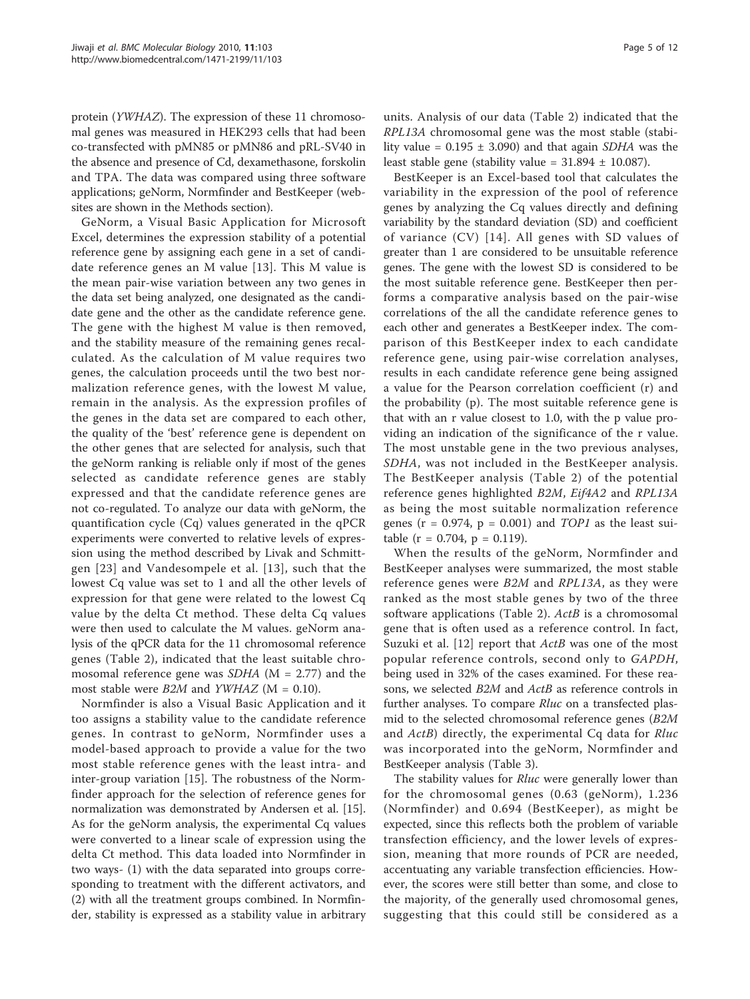protein (YWHAZ). The expression of these 11 chromosomal genes was measured in HEK293 cells that had been co-transfected with pMN85 or pMN86 and pRL-SV40 in the absence and presence of Cd, dexamethasone, forskolin and TPA. The data was compared using three software applications; geNorm, Normfinder and BestKeeper (websites are shown in the Methods section).

GeNorm, a Visual Basic Application for Microsoft Excel, determines the expression stability of a potential reference gene by assigning each gene in a set of candidate reference genes an M value [[13\]](#page-10-0). This M value is the mean pair-wise variation between any two genes in the data set being analyzed, one designated as the candidate gene and the other as the candidate reference gene. The gene with the highest M value is then removed, and the stability measure of the remaining genes recalculated. As the calculation of M value requires two genes, the calculation proceeds until the two best normalization reference genes, with the lowest M value, remain in the analysis. As the expression profiles of the genes in the data set are compared to each other, the quality of the 'best' reference gene is dependent on the other genes that are selected for analysis, such that the geNorm ranking is reliable only if most of the genes selected as candidate reference genes are stably expressed and that the candidate reference genes are not co-regulated. To analyze our data with geNorm, the quantification cycle (Cq) values generated in the qPCR experiments were converted to relative levels of expression using the method described by Livak and Schmittgen [[23\]](#page-10-0) and Vandesompele et al. [\[13\]](#page-10-0), such that the lowest Cq value was set to 1 and all the other levels of expression for that gene were related to the lowest Cq value by the delta Ct method. These delta Cq values were then used to calculate the M values. geNorm analysis of the qPCR data for the 11 chromosomal reference genes (Table [2\)](#page-5-0), indicated that the least suitable chromosomal reference gene was SDHA (M = 2.77) and the most stable were  $B2M$  and  $YWHAZ$  (M = 0.10).

Normfinder is also a Visual Basic Application and it too assigns a stability value to the candidate reference genes. In contrast to geNorm, Normfinder uses a model-based approach to provide a value for the two most stable reference genes with the least intra- and inter-group variation [[15](#page-10-0)]. The robustness of the Normfinder approach for the selection of reference genes for normalization was demonstrated by Andersen et al. [\[15](#page-10-0)]. As for the geNorm analysis, the experimental Cq values were converted to a linear scale of expression using the delta Ct method. This data loaded into Normfinder in two ways- (1) with the data separated into groups corresponding to treatment with the different activators, and (2) with all the treatment groups combined. In Normfinder, stability is expressed as a stability value in arbitrary

units. Analysis of our data (Table [2](#page-5-0)) indicated that the RPL13A chromosomal gene was the most stable (stability value =  $0.195 \pm 3.090$ ) and that again SDHA was the least stable gene (stability value =  $31.894 \pm 10.087$ ).

BestKeeper is an Excel-based tool that calculates the variability in the expression of the pool of reference genes by analyzing the Cq values directly and defining variability by the standard deviation (SD) and coefficient of variance (CV) [[14\]](#page-10-0). All genes with SD values of greater than 1 are considered to be unsuitable reference genes. The gene with the lowest SD is considered to be the most suitable reference gene. BestKeeper then performs a comparative analysis based on the pair-wise correlations of the all the candidate reference genes to each other and generates a BestKeeper index. The comparison of this BestKeeper index to each candidate reference gene, using pair-wise correlation analyses, results in each candidate reference gene being assigned a value for the Pearson correlation coefficient (r) and the probability (p). The most suitable reference gene is that with an r value closest to 1.0, with the p value providing an indication of the significance of the r value. The most unstable gene in the two previous analyses, SDHA, was not included in the BestKeeper analysis. The BestKeeper analysis (Table [2](#page-5-0)) of the potential reference genes highlighted B2M, Eif4A2 and RPL13A as being the most suitable normalization reference genes ( $r = 0.974$ ,  $p = 0.001$ ) and  $TOP1$  as the least suitable ( $r = 0.704$ ,  $p = 0.119$ ).

When the results of the geNorm, Normfinder and BestKeeper analyses were summarized, the most stable reference genes were B2M and RPL13A, as they were ranked as the most stable genes by two of the three software applications (Table [2\)](#page-5-0). ActB is a chromosomal gene that is often used as a reference control. In fact, Suzuki et al. [\[12](#page-10-0)] report that *ActB* was one of the most popular reference controls, second only to GAPDH, being used in 32% of the cases examined. For these reasons, we selected B2M and ActB as reference controls in further analyses. To compare Rluc on a transfected plasmid to the selected chromosomal reference genes (B2M and ActB) directly, the experimental Cq data for Rluc was incorporated into the geNorm, Normfinder and BestKeeper analysis (Table [3](#page-5-0)).

The stability values for Rluc were generally lower than for the chromosomal genes (0.63 (geNorm), 1.236 (Normfinder) and 0.694 (BestKeeper), as might be expected, since this reflects both the problem of variable transfection efficiency, and the lower levels of expression, meaning that more rounds of PCR are needed, accentuating any variable transfection efficiencies. However, the scores were still better than some, and close to the majority, of the generally used chromosomal genes, suggesting that this could still be considered as a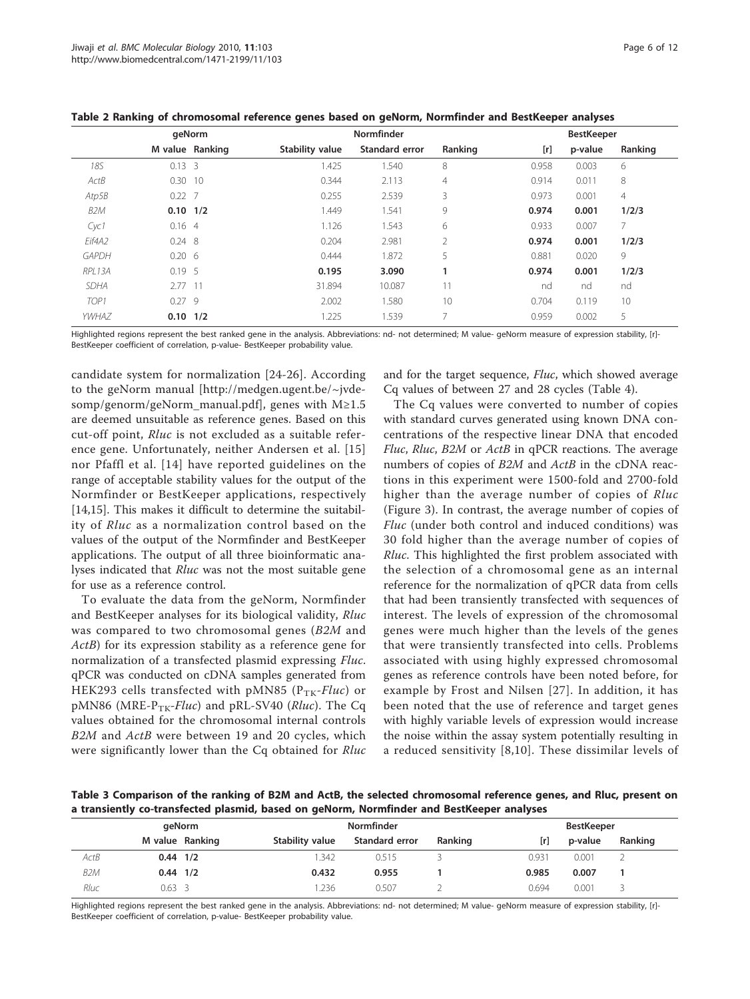|                  |                   | qeNorm          |                        | Normfinder            |         |       | <b>BestKeeper</b> |         |  |
|------------------|-------------------|-----------------|------------------------|-----------------------|---------|-------|-------------------|---------|--|
|                  |                   | M value Ranking | <b>Stability value</b> | <b>Standard error</b> | Ranking | [r]   | p-value           | Ranking |  |
| 18S              | $0.13 \quad 3$    |                 | 1.425                  | 1.540                 | 8       | 0.958 | 0.003             | 6       |  |
| ActB             | $0.30$ 10         |                 | 0.344                  | 2.113                 | 4       | 0.914 | 0.011             | 8       |  |
| Atp5B            | $0.22 \quad 7$    |                 | 0.255                  | 2.539                 | 3       | 0.973 | 0.001             | 4       |  |
| B <sub>2</sub> M | $0.10 \t1/2$      |                 | 1.449                  | 1.541                 | 9       | 0.974 | 0.001             | 1/2/3   |  |
| Cyc1             | $0.16$ 4          |                 | 1.126                  | 1.543                 | 6       | 0.933 | 0.007             | 7       |  |
| Eif4A2           | $0.24$ 8          |                 | 0.204                  | 2.981                 | 2       | 0.974 | 0.001             | 1/2/3   |  |
| <b>GAPDH</b>     | 0.206             |                 | 0.444                  | 1.872                 | 5       | 0.881 | 0.020             | 9       |  |
| RPL13A           | 0.19 <sub>5</sub> |                 | 0.195                  | 3.090                 | 1       | 0.974 | 0.001             | 1/2/3   |  |
| <b>SDHA</b>      | $2.77$ 11         |                 | 31.894                 | 10.087                | 11      | nd    | nd                | nd      |  |
| TOP <sub>1</sub> | $0.27$ 9          |                 | 2.002                  | 1.580                 | 10      | 0.704 | 0.119             | 10      |  |
| YWHAZ            | $0.10$ $1/2$      |                 | .225                   | 1.539                 | 7       | 0.959 | 0.002             | 5       |  |

<span id="page-5-0"></span>Table 2 Ranking of chromosomal reference genes based on geNorm, Normfinder and BestKeeper analyses

Highlighted regions represent the best ranked gene in the analysis. Abbreviations: nd- not determined; M value- geNorm measure of expression stability, [r]- BestKeeper coefficient of correlation, p-value- BestKeeper probability value.

candidate system for normalization [[24-26\]](#page-10-0). According to the geNorm manual [\[http://medgen.ugent.be/~jvde](http://medgen.ugent.be/~jvdesomp/genorm/geNorm_manual.pdf)[somp/genorm/geNorm\\_manual.pdf\]](http://medgen.ugent.be/~jvdesomp/genorm/geNorm_manual.pdf), genes with M≥1.5 are deemed unsuitable as reference genes. Based on this cut-off point, Rluc is not excluded as a suitable reference gene. Unfortunately, neither Andersen et al. [[15](#page-10-0)] nor Pfaffl et al. [[14](#page-10-0)] have reported guidelines on the range of acceptable stability values for the output of the Normfinder or BestKeeper applications, respectively [[14,15\]](#page-10-0). This makes it difficult to determine the suitability of Rluc as a normalization control based on the values of the output of the Normfinder and BestKeeper applications. The output of all three bioinformatic analyses indicated that Rluc was not the most suitable gene for use as a reference control.

To evaluate the data from the geNorm, Normfinder and BestKeeper analyses for its biological validity, Rluc was compared to two chromosomal genes (B2M and ActB) for its expression stability as a reference gene for normalization of a transfected plasmid expressing Fluc. qPCR was conducted on cDNA samples generated from HEK293 cells transfected with pMN85 ( $P_{TK}$ -*Fluc*) or pMN86 (MRE- $P_{TK}$ -*Fluc*) and pRL-SV40 (*Rluc*). The Cq values obtained for the chromosomal internal controls B2M and ActB were between 19 and 20 cycles, which were significantly lower than the Cq obtained for Rluc and for the target sequence, *Fluc*, which showed average Cq values of between 27 and 28 cycles (Table [4](#page-6-0)).

The Cq values were converted to number of copies with standard curves generated using known DNA concentrations of the respective linear DNA that encoded Fluc, Rluc,  $B2M$  or  $ActB$  in qPCR reactions. The average numbers of copies of B2M and ActB in the cDNA reactions in this experiment were 1500-fold and 2700-fold higher than the average number of copies of Rluc (Figure [3\)](#page-6-0). In contrast, the average number of copies of Fluc (under both control and induced conditions) was 30 fold higher than the average number of copies of Rluc. This highlighted the first problem associated with the selection of a chromosomal gene as an internal reference for the normalization of qPCR data from cells that had been transiently transfected with sequences of interest. The levels of expression of the chromosomal genes were much higher than the levels of the genes that were transiently transfected into cells. Problems associated with using highly expressed chromosomal genes as reference controls have been noted before, for example by Frost and Nilsen [[27\]](#page-10-0). In addition, it has been noted that the use of reference and target genes with highly variable levels of expression would increase the noise within the assay system potentially resulting in a reduced sensitivity [[8](#page-10-0),[10\]](#page-10-0). These dissimilar levels of

Table 3 Comparison of the ranking of B2M and ActB, the selected chromosomal reference genes, and Rluc, present on a transiently co-transfected plasmid, based on geNorm, Normfinder and BestKeeper analyses

|                  |                   | geNorm          |                        | <b>Normfinder</b> |         |       | <b>BestKeeper</b> |         |
|------------------|-------------------|-----------------|------------------------|-------------------|---------|-------|-------------------|---------|
|                  |                   | M value Ranking | <b>Stability value</b> | Standard error    | Ranking | [r]   | p-value           | Ranking |
| ActB             | $0.44$ $1/2$      |                 | .342                   | 0.515             |         | 0.931 | 0.001             |         |
| B <sub>2</sub> M | $0.44$ $1/2$      |                 | 0.432                  | 0.955             |         | 0.985 | 0.007             |         |
| Rluc             | 0.63 <sup>3</sup> |                 | .236                   | 0.507             |         | 0.694 | 0.001             |         |

Highlighted regions represent the best ranked gene in the analysis. Abbreviations: nd- not determined; M value- geNorm measure of expression stability, [r]- BestKeeper coefficient of correlation, p-value- BestKeeper probability value.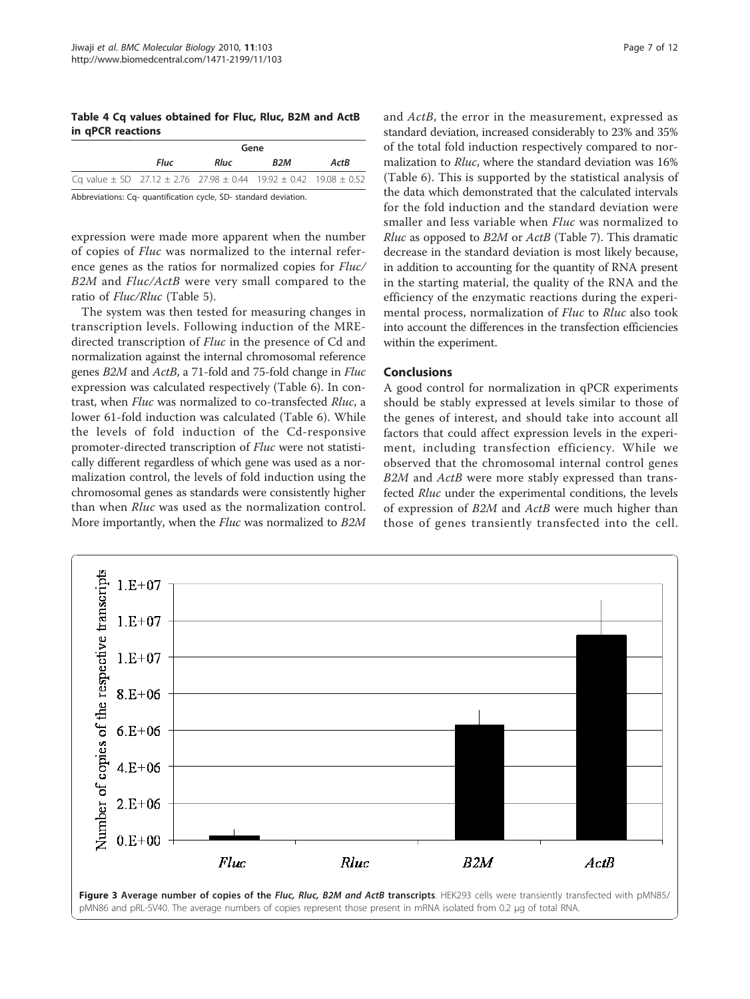<span id="page-6-0"></span>Table 4 Cq values obtained for Fluc, Rluc, B2M and ActB in qPCR reactions

|                                                                                       | Gene |      |     |      |  |  |
|---------------------------------------------------------------------------------------|------|------|-----|------|--|--|
|                                                                                       | Fluc | Rluc | B2M | ActB |  |  |
| Cq value $\pm$ SD 27.12 $\pm$ 2.76 27.98 $\pm$ 0.44 19.92 $\pm$ 0.42 19.08 $\pm$ 0.52 |      |      |     |      |  |  |
|                                                                                       |      |      |     |      |  |  |

Abbreviations: Cq- quantification cycle, SD- standard deviation.

expression were made more apparent when the number of copies of Fluc was normalized to the internal reference genes as the ratios for normalized copies for Fluc/ B2M and Fluc/ActB were very small compared to the ratio of Fluc/Rluc (Table [5](#page-7-0)).

The system was then tested for measuring changes in transcription levels. Following induction of the MREdirected transcription of *Fluc* in the presence of Cd and normalization against the internal chromosomal reference genes B2M and ActB, a 71-fold and 75-fold change in Fluc expression was calculated respectively (Table [6\)](#page-7-0). In contrast, when Fluc was normalized to co-transfected Rluc, a lower 61-fold induction was calculated (Table [6\)](#page-7-0). While the levels of fold induction of the Cd-responsive promoter-directed transcription of Fluc were not statistically different regardless of which gene was used as a normalization control, the levels of fold induction using the chromosomal genes as standards were consistently higher than when Rluc was used as the normalization control. More importantly, when the Fluc was normalized to B2M and ActB, the error in the measurement, expressed as standard deviation, increased considerably to 23% and 35% of the total fold induction respectively compared to normalization to Rluc, where the standard deviation was 16% (Table [6\)](#page-7-0). This is supported by the statistical analysis of the data which demonstrated that the calculated intervals for the fold induction and the standard deviation were smaller and less variable when *Fluc* was normalized to Rluc as opposed to  $B2M$  or  $ActB$  (Table [7\)](#page-7-0). This dramatic decrease in the standard deviation is most likely because, in addition to accounting for the quantity of RNA present in the starting material, the quality of the RNA and the efficiency of the enzymatic reactions during the experimental process, normalization of Fluc to Rluc also took into account the differences in the transfection efficiencies within the experiment.

## **Conclusions**

A good control for normalization in qPCR experiments should be stably expressed at levels similar to those of the genes of interest, and should take into account all factors that could affect expression levels in the experiment, including transfection efficiency. While we observed that the chromosomal internal control genes B2M and ActB were more stably expressed than transfected Rluc under the experimental conditions, the levels of expression of B2M and ActB were much higher than those of genes transiently transfected into the cell.



pMN86 and pRL-SV40. The average numbers of copies represent those present in mRNA isolated from 0.2 μg of total RNA.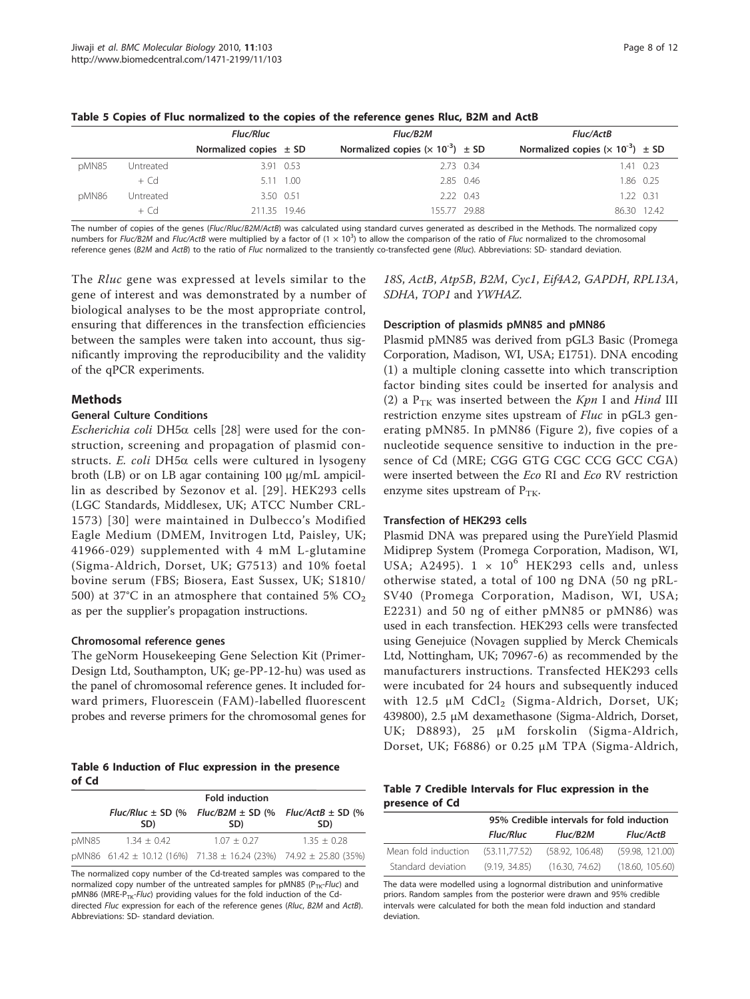| Page 8 of 12 |  |  |  |
|--------------|--|--|--|
|--------------|--|--|--|

|       |           | <b>Fluc/Rluc</b>           |           | <b>Fluc/B2M</b>                        |           | <b>Fluc/ActB</b>                                         |             |
|-------|-----------|----------------------------|-----------|----------------------------------------|-----------|----------------------------------------------------------|-------------|
|       |           | Normalized copies $\pm$ SD |           | Normalized copies $(x 10^{-3}) \pm SD$ |           | Normalized copies ( $\times$ 10 <sup>-3</sup> ) $\pm$ SD |             |
| pMN85 | Untreated |                            | 3.91 0.53 |                                        | 2.73 0.34 |                                                          | 1.41 0.23   |
|       | $+cd$     |                            | 5.11 1.00 |                                        | 2.85 0.46 |                                                          | 1.86 0.25   |
| pMN86 | Untreated |                            | 3.50 0.51 |                                        | 2.22 0.43 |                                                          | 1.22 0.31   |
|       | $+cd$     | 211.35 19.46               |           | 155.77 29.88                           |           |                                                          | 86.30 12.42 |

<span id="page-7-0"></span>Table 5 Copies of Fluc normalized to the copies of the reference genes Rluc, B2M and ActB

The number of copies of the genes (Fluc/Rluc/B2M/ActB) was calculated using standard curves generated as described in the Methods. The normalized copy numbers for *Fluc/B2M* and *Fluc/ActB* were multiplied by a factor of  $(1 \times 10^3)$  to allow the comparison of the ratio of *Fluc* normalized to the chromosomal<br>reference genes (*B2M* and *ActB*) to the ratio of *Fluc* nor reference genes (B2M and ActB) to the ratio of Fluc normalized to the transiently co-transfected gene (Rluc). Abbreviations: SD- standard deviation.

The Rluc gene was expressed at levels similar to the gene of interest and was demonstrated by a number of biological analyses to be the most appropriate control, ensuring that differences in the transfection efficiencies between the samples were taken into account, thus significantly improving the reproducibility and the validity of the qPCR experiments.

## Methods

#### General Culture Conditions

Escherichia coli DH5 $\alpha$  cells [\[28](#page-10-0)] were used for the construction, screening and propagation of plasmid constructs. E. coli DH5a cells were cultured in lysogeny broth (LB) or on LB agar containing 100 μg/mL ampicillin as described by Sezonov et al. [[29](#page-10-0)]. HEK293 cells (LGC Standards, Middlesex, UK; ATCC Number CRL-1573) [[30\]](#page-10-0) were maintained in Dulbecco's Modified Eagle Medium (DMEM, Invitrogen Ltd, Paisley, UK; 41966-029) supplemented with 4 mM L-glutamine (Sigma-Aldrich, Dorset, UK; G7513) and 10% foetal bovine serum (FBS; Biosera, East Sussex, UK; S1810/ 500) at 37°C in an atmosphere that contained 5%  $CO<sub>2</sub>$ as per the supplier's propagation instructions.

#### Chromosomal reference genes

The geNorm Housekeeping Gene Selection Kit (Primer-Design Ltd, Southampton, UK; ge-PP-12-hu) was used as the panel of chromosomal reference genes. It included forward primers, Fluorescein (FAM)-labelled fluorescent probes and reverse primers for the chromosomal genes for

Table 6 Induction of Fluc expression in the presence of Cd

|       |                 | <b>Fold induction</b>                                             |                              |
|-------|-----------------|-------------------------------------------------------------------|------------------------------|
|       | SD)             | Fluc/Rluc $\pm$ SD (% Fluc/B2M $\pm$ SD (%)<br>SD)                | $Fluc/ActB \pm SD$ (%<br>SD) |
| pMN85 | $1.34 \pm 0.42$ | $1.07 + 0.27$                                                     | $1.35 + 0.28$                |
|       |                 | pMN86 61.42 ± 10.12 (16%) 71.38 ± 16.24 (23%) 74.92 ± 25.80 (35%) |                              |

The normalized copy number of the Cd-treated samples was compared to the normalized copy number of the untreated samples for pMN85 ( $P_{TK}$ -Fluc) and pMN86 (MRE-P<sub>TK</sub>-Fluc) providing values for the fold induction of the Cddirected Fluc expression for each of the reference genes (Rluc, B2M and ActB). Abbreviations: SD- standard deviation.

18S, ActB, Atp5B, B2M, Cyc1, Eif4A2, GAPDH, RPL13A, SDHA, TOP1 and YWHAZ.

#### Description of plasmids pMN85 and pMN86

Plasmid pMN85 was derived from pGL3 Basic (Promega Corporation, Madison, WI, USA; E1751). DNA encoding (1) a multiple cloning cassette into which transcription factor binding sites could be inserted for analysis and (2) a  $P_{TK}$  was inserted between the *Kpn* I and *Hind* III restriction enzyme sites upstream of *Fluc* in pGL3 generating pMN85. In pMN86 (Figure [2](#page-3-0)), five copies of a nucleotide sequence sensitive to induction in the presence of Cd (MRE; CGG GTG CGC CCG GCC CGA) were inserted between the Eco RI and Eco RV restriction enzyme sites upstream of  $P_{TK}$ .

#### Transfection of HEK293 cells

Plasmid DNA was prepared using the PureYield Plasmid Midiprep System (Promega Corporation, Madison, WI, USA; A2495).  $1 \times 10^6$  HEK293 cells and, unless otherwise stated, a total of 100 ng DNA (50 ng pRL-SV40 (Promega Corporation, Madison, WI, USA; E2231) and 50 ng of either pMN85 or pMN86) was used in each transfection. HEK293 cells were transfected using Genejuice (Novagen supplied by Merck Chemicals Ltd, Nottingham, UK; 70967-6) as recommended by the manufacturers instructions. Transfected HEK293 cells were incubated for 24 hours and subsequently induced with 12.5  $\mu$ M CdCl<sub>2</sub> (Sigma-Aldrich, Dorset, UK; 439800), 2.5 μM dexamethasone (Sigma-Aldrich, Dorset, UK; D8893), 25 μM forskolin (Sigma-Aldrich, Dorset, UK; F6886) or 0.25 μM TPA (Sigma-Aldrich,

|                |  |  | Table 7 Credible Intervals for Fluc expression in the |  |
|----------------|--|--|-------------------------------------------------------|--|
| presence of Cd |  |  |                                                       |  |

|                     | 95% Credible intervals for fold induction |                 |                  |  |  |
|---------------------|-------------------------------------------|-----------------|------------------|--|--|
|                     | <b>Fluc/Rluc</b>                          | <b>Fluc/B2M</b> | <b>Fluc/ActB</b> |  |  |
| Mean fold induction | (53.11.77.52)                             | (58.92. 106.48) | (59.98, 121.00)  |  |  |
| Standard deviation  | (9.19, 34.85)                             | (16.30, 74.62)  | (18.60, 105.60)  |  |  |

The data were modelled using a lognormal distribution and uninformative priors. Random samples from the posterior were drawn and 95% credible intervals were calculated for both the mean fold induction and standard deviation.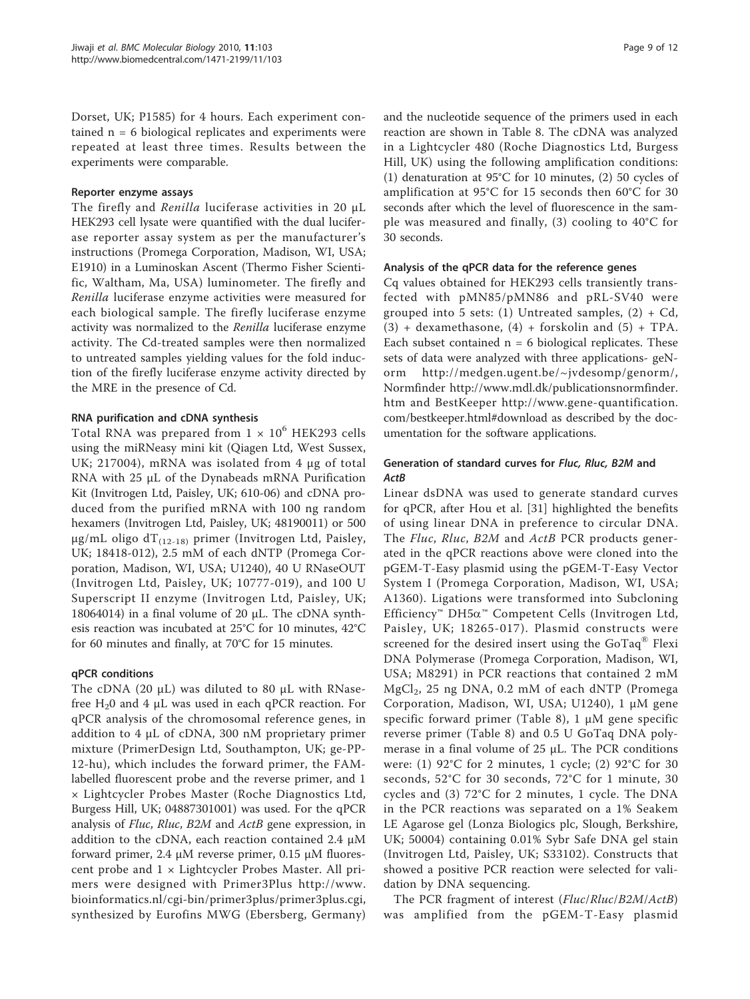Dorset, UK; P1585) for 4 hours. Each experiment contained  $n = 6$  biological replicates and experiments were repeated at least three times. Results between the experiments were comparable.

#### Reporter enzyme assays

The firefly and Renilla luciferase activities in 20 μL HEK293 cell lysate were quantified with the dual luciferase reporter assay system as per the manufacturer's instructions (Promega Corporation, Madison, WI, USA; E1910) in a Luminoskan Ascent (Thermo Fisher Scientific, Waltham, Ma, USA) luminometer. The firefly and Renilla luciferase enzyme activities were measured for each biological sample. The firefly luciferase enzyme activity was normalized to the Renilla luciferase enzyme activity. The Cd-treated samples were then normalized to untreated samples yielding values for the fold induction of the firefly luciferase enzyme activity directed by the MRE in the presence of Cd.

## RNA purification and cDNA synthesis

Total RNA was prepared from  $1 \times 10^6$  HEK293 cells using the miRNeasy mini kit (Qiagen Ltd, West Sussex, UK; 217004), mRNA was isolated from 4 μg of total RNA with 25 μL of the Dynabeads mRNA Purification Kit (Invitrogen Ltd, Paisley, UK; 610-06) and cDNA produced from the purified mRNA with 100 ng random hexamers (Invitrogen Ltd, Paisley, UK; 48190011) or 500 μg/mL oligo dT<sub>(12-18)</sub> primer (Invitrogen Ltd, Paisley, UK; 18418-012), 2.5 mM of each dNTP (Promega Corporation, Madison, WI, USA; U1240), 40 U RNaseOUT (Invitrogen Ltd, Paisley, UK; 10777-019), and 100 U Superscript II enzyme (Invitrogen Ltd, Paisley, UK; 18064014) in a final volume of 20 μL. The cDNA synthesis reaction was incubated at 25°C for 10 minutes, 42°C for 60 minutes and finally, at 70°C for 15 minutes.

## qPCR conditions

The cDNA (20  $\mu$ L) was diluted to 80  $\mu$ L with RNasefree H<sub>2</sub>0 and 4  $\mu$ L was used in each qPCR reaction. For qPCR analysis of the chromosomal reference genes, in addition to 4 μL of cDNA, 300 nM proprietary primer mixture (PrimerDesign Ltd, Southampton, UK; ge-PP-12-hu), which includes the forward primer, the FAMlabelled fluorescent probe and the reverse primer, and 1 × Lightcycler Probes Master (Roche Diagnostics Ltd, Burgess Hill, UK; 04887301001) was used. For the qPCR analysis of *Fluc*, *Rluc*, *B2M* and *ActB* gene expression, in addition to the cDNA, each reaction contained 2.4 μM forward primer, 2.4 μM reverse primer, 0.15 μM fluorescent probe and 1 × Lightcycler Probes Master. All primers were designed with Primer3Plus [http://www.](http://www.bioinformatics.nl/cgi-bin/primer3plus/primer3plus.cgi) [bioinformatics.nl/cgi-bin/primer3plus/primer3plus.cgi](http://www.bioinformatics.nl/cgi-bin/primer3plus/primer3plus.cgi), synthesized by Eurofins MWG (Ebersberg, Germany) and the nucleotide sequence of the primers used in each reaction are shown in Table [8](#page-9-0). The cDNA was analyzed in a Lightcycler 480 (Roche Diagnostics Ltd, Burgess Hill, UK) using the following amplification conditions: (1) denaturation at 95°C for 10 minutes, (2) 50 cycles of amplification at 95°C for 15 seconds then 60°C for 30 seconds after which the level of fluorescence in the sample was measured and finally, (3) cooling to 40°C for 30 seconds.

## Analysis of the qPCR data for the reference genes

Cq values obtained for HEK293 cells transiently transfected with pMN85/pMN86 and pRL-SV40 were grouped into 5 sets: (1) Untreated samples,  $(2) + Cd$ ,  $(3)$  + dexamethasone,  $(4)$  + forskolin and  $(5)$  + TPA. Each subset contained  $n = 6$  biological replicates. These sets of data were analyzed with three applications- geNorm<http://medgen.ugent.be/~jvdesomp/genorm/>, Normfinder [http://www.mdl.dk/publicationsnormfinder.](http://www.mdl.dk/publicationsnormfinder.htm) [htm](http://www.mdl.dk/publicationsnormfinder.htm) and BestKeeper [http://www.gene-quantification.](http://www.gene-quantification.com/bestkeeper.html#download) [com/bestkeeper.html#download](http://www.gene-quantification.com/bestkeeper.html#download) as described by the documentation for the software applications.

## Generation of standard curves for Fluc, Rluc, B2M and **ActB**

Linear dsDNA was used to generate standard curves for qPCR, after Hou et al. [[31\]](#page-10-0) highlighted the benefits of using linear DNA in preference to circular DNA. The Fluc, Rluc, B2M and ActB PCR products generated in the qPCR reactions above were cloned into the pGEM-T-Easy plasmid using the pGEM-T-Easy Vector System I (Promega Corporation, Madison, WI, USA; A1360). Ligations were transformed into Subcloning Efficiency™ DH5a™ Competent Cells (Invitrogen Ltd, Paisley, UK; 18265-017). Plasmid constructs were screened for the desired insert using the GoTaq® Flexi DNA Polymerase (Promega Corporation, Madison, WI, USA; M8291) in PCR reactions that contained 2 mM  $MgCl<sub>2</sub>$ , 25 ng DNA, 0.2 mM of each dNTP (Promega Corporation, Madison, WI, USA; U1240), 1 μM gene specific forward primer (Table [8\)](#page-9-0),  $1 \mu M$  gene specific reverse primer (Table [8](#page-9-0)) and 0.5 U GoTaq DNA polymerase in a final volume of 25 μL. The PCR conditions were: (1) 92°C for 2 minutes, 1 cycle; (2) 92°C for 30 seconds, 52°C for 30 seconds, 72°C for 1 minute, 30 cycles and (3) 72°C for 2 minutes, 1 cycle. The DNA in the PCR reactions was separated on a 1% Seakem LE Agarose gel (Lonza Biologics plc, Slough, Berkshire, UK; 50004) containing 0.01% Sybr Safe DNA gel stain (Invitrogen Ltd, Paisley, UK; S33102). Constructs that showed a positive PCR reaction were selected for validation by DNA sequencing.

The PCR fragment of interest (Fluc/Rluc/B2M/ActB) was amplified from the pGEM-T-Easy plasmid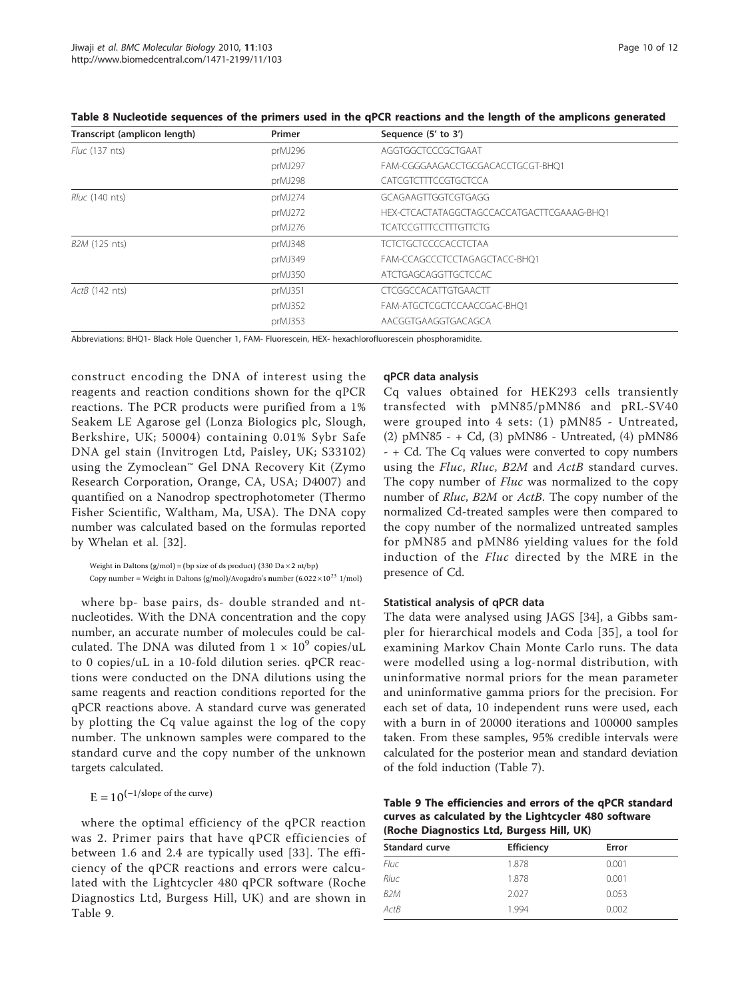| Transcript (amplicon length) | Primer  | Sequence (5' to 3')                        |
|------------------------------|---------|--------------------------------------------|
| Fluc (137 nts)               | prMJ296 | AGGTGGCTCCCGCTGAAT                         |
|                              | prMJ297 | FAM-CGGGAAGACCTGCGACACCTGCGT-BHO1          |
|                              | prMJ298 | CATCGTCTTTCCGTGCTCCA                       |
| Rluc (140 nts)               | prMJ274 | GCAGAAGTTGGTCGTGAGG                        |
|                              | prMJ272 | HEX-CTCACTATAGGCTAGCCACCATGACTTCGAAAG-BHO1 |
|                              | prMJ276 | <b>TCATCCGTTTCCTTTGTTCTG</b>               |
| B <sub>2</sub> M (125 nts)   | prMJ348 | <b>TCTCTGCTCCCCACCTCTAA</b>                |
|                              | prMJ349 | FAM-CCAGCCCTCCTAGAGCTACC-BHQ1              |
|                              | prMJ350 | <b>ATCTGAGCAGGTTGCTCCAC</b>                |
| $ActB$ (142 nts)             | prMJ351 | CTCGGCCACATTGTGAACTT                       |
|                              | prMJ352 | FAM-ATGCTCGCTCCAACCGAC-BHO1                |
|                              | prMJ353 | AACGGTGAAGGTGACAGCA                        |

<span id="page-9-0"></span>Table 8 Nucleotide sequences of the primers used in the qPCR reactions and the length of the amplicons generated

Abbreviations: BHQ1- Black Hole Quencher 1, FAM- Fluorescein, HEX- hexachlorofluorescein phosphoramidite.

construct encoding the DNA of interest using the reagents and reaction conditions shown for the qPCR reactions. The PCR products were purified from a 1% Seakem LE Agarose gel (Lonza Biologics plc, Slough, Berkshire, UK; 50004) containing 0.01% Sybr Safe DNA gel stain (Invitrogen Ltd, Paisley, UK; S33102) using the Zymoclean™ Gel DNA Recovery Kit (Zymo Research Corporation, Orange, CA, USA; D4007) and quantified on a Nanodrop spectrophotometer (Thermo Fisher Scientific, Waltham, Ma, USA). The DNA copy number was calculated based on the formulas reported by Whelan et al. [[32\]](#page-10-0).

Weight in Daltons  $(g/mol) = (bp \text{ size of ds product}) (330 \text{ Da} \times 2 \text{ nt/bp})$ Copy number = Weight in Daltons (g/mol)/Avogadro's number (6.022 $\times$ 10<sup>23</sup> 1/mol)

where bp- base pairs, ds- double stranded and ntnucleotides. With the DNA concentration and the copy number, an accurate number of molecules could be calculated. The DNA was diluted from  $1 \times 10^9$  copies/uL to 0 copies/uL in a 10-fold dilution series. qPCR reactions were conducted on the DNA dilutions using the same reagents and reaction conditions reported for the qPCR reactions above. A standard curve was generated by plotting the Cq value against the log of the copy number. The unknown samples were compared to the standard curve and the copy number of the unknown targets calculated.

## $E = 10^{(-1/\text{slope of the curve)}}$

where the optimal efficiency of the qPCR reaction was 2. Primer pairs that have qPCR efficiencies of between 1.6 and 2.4 are typically used [\[33\]](#page-11-0). The efficiency of the qPCR reactions and errors were calculated with the Lightcycler 480 qPCR software (Roche Diagnostics Ltd, Burgess Hill, UK) and are shown in Table 9.

## qPCR data analysis

Cq values obtained for HEK293 cells transiently transfected with pMN85/pMN86 and pRL-SV40 were grouped into 4 sets: (1) pMN85 - Untreated, (2) pMN85 - + Cd, (3) pMN86 - Untreated, (4) pMN86 - + Cd. The Cq values were converted to copy numbers using the Fluc, Rluc, B2M and ActB standard curves. The copy number of *Fluc* was normalized to the copy number of Rluc, B2M or ActB. The copy number of the normalized Cd-treated samples were then compared to the copy number of the normalized untreated samples for pMN85 and pMN86 yielding values for the fold induction of the Fluc directed by the MRE in the presence of Cd.

## Statistical analysis of qPCR data

The data were analysed using JAGS [\[34](#page-11-0)], a Gibbs sampler for hierarchical models and Coda [[35](#page-11-0)], a tool for examining Markov Chain Monte Carlo runs. The data were modelled using a log-normal distribution, with uninformative normal priors for the mean parameter and uninformative gamma priors for the precision. For each set of data, 10 independent runs were used, each with a burn in of 20000 iterations and 100000 samples taken. From these samples, 95% credible intervals were calculated for the posterior mean and standard deviation of the fold induction (Table [7](#page-7-0)).

Table 9 The efficiencies and errors of the qPCR standard curves as calculated by the Lightcycler 480 software (Roche Diagnostics Ltd, Burgess Hill, UK)

| <b>Efficiency</b> | Error |
|-------------------|-------|
| 1.878             | 0.001 |
| 1.878             | 0.001 |
| 2.027             | 0.053 |
| 1.994             | 0.002 |
|                   |       |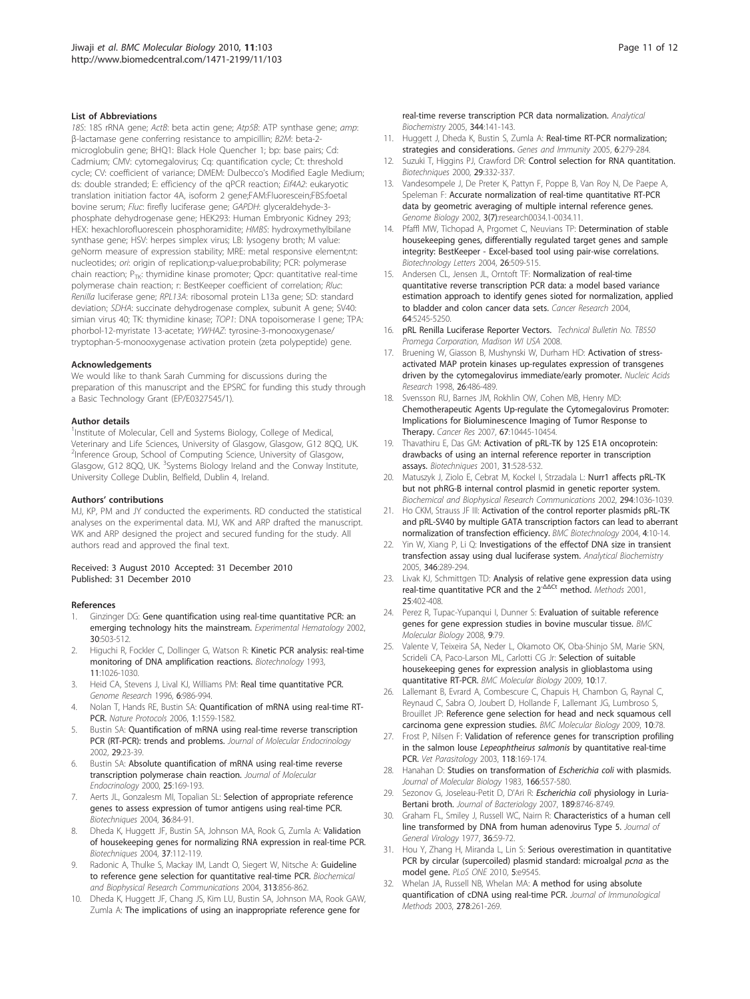#### <span id="page-10-0"></span>List of Abbreviations

18S: 18S rRNA gene; ActB: beta actin gene; Atp5B: ATP synthase gene; amp: β-lactamase gene conferring resistance to ampicillin; B2M: beta-2 microglobulin gene; BHQ1: Black Hole Quencher 1; bp: base pairs; Cd: Cadmium; CMV: cytomegalovirus; Cq: quantification cycle; Ct: threshold cycle; CV: coefficient of variance; DMEM: Dulbecco's Modified Eagle Medium; ds: double stranded; E: efficiency of the qPCR reaction; Eif4A2: eukaryotic translation initiation factor 4A, isoform 2 gene;FAM:Fluorescein;FBS:foetal bovine serum; Fluc: firefly luciferase gene; GAPDH: glyceraldehyde-3 phosphate dehydrogenase gene; HEK293: Human Embryonic Kidney 293; HEX: hexachlorofluorescein phosphoramidite; HMBS: hydroxymethylbilane synthase gene; HSV: herpes simplex virus; LB: lysogeny broth; M value: geNorm measure of expression stability; MRE: metal responsive element;nt: nucleotides; ori: origin of replication;p-value:probability; PCR: polymerase chain reaction;  $P_{TK}$ : thymidine kinase promoter; Qpcr: quantitative real-time polymerase chain reaction; r: BestKeeper coefficient of correlation; Rluc: Renilla luciferase gene; RPL13A: ribosomal protein L13a gene; SD: standard deviation; SDHA: succinate dehydrogenase complex, subunit A gene; SV40: simian virus 40; TK: thymidine kinase; TOP1: DNA topoisomerase I gene; TPA: phorbol-12-myristate 13-acetate; YWHAZ: tyrosine-3-monooxygenase/ tryptophan-5-monooxygenase activation protein (zeta polypeptide) gene.

#### Acknowledgements

We would like to thank Sarah Cumming for discussions during the preparation of this manuscript and the EPSRC for funding this study through a Basic Technology Grant (EP/E0327545/1).

#### Author details

<sup>1</sup>Institute of Molecular, Cell and Systems Biology, College of Medical, Veterinary and Life Sciences, University of Glasgow, Glasgow, G12 8QQ, UK. <sup>2</sup>Inference Group, School of Computing Science, University of Glasgow, Glasgow, G12 8QQ, UK. <sup>3</sup>Systems Biology Ireland and the Conway Institute, University College Dublin, Belfield, Dublin 4, Ireland.

#### Authors' contributions

MJ, KP, PM and JY conducted the experiments. RD conducted the statistical analyses on the experimental data. MJ, WK and ARP drafted the manuscript. WK and ARP designed the project and secured funding for the study. All authors read and approved the final text.

#### Received: 3 August 2010 Accepted: 31 December 2010 Published: 31 December 2010

#### References

- 1. Ginzinger DG: [Gene quantification using real-time quantitative PCR: an](http://www.ncbi.nlm.nih.gov/pubmed/12063017?dopt=Abstract) [emerging technology hits the mainstream.](http://www.ncbi.nlm.nih.gov/pubmed/12063017?dopt=Abstract) Experimental Hematology 2002, 30:503-512.
- 2. Higuchi R, Fockler C, Dollinger G, Watson R: [Kinetic PCR analysis: real-time](http://www.ncbi.nlm.nih.gov/pubmed/7764001?dopt=Abstract) [monitoring of DNA amplification reactions.](http://www.ncbi.nlm.nih.gov/pubmed/7764001?dopt=Abstract) Biotechnology 1993, 11:1026-1030.
- Heid CA, Stevens J, Lival KJ, Williams PM: [Real time quantitative PCR.](http://www.ncbi.nlm.nih.gov/pubmed/8908518?dopt=Abstract) Genome Research 1996, 6:986-994.
- 4. Nolan T, Hands RE, Bustin SA: [Quantification of mRNA using real-time RT-](http://www.ncbi.nlm.nih.gov/pubmed/17406449?dopt=Abstract)[PCR.](http://www.ncbi.nlm.nih.gov/pubmed/17406449?dopt=Abstract) Nature Protocols 2006, 1:1559-1582.
- 5. Bustin SA: [Quantification of mRNA using real-time reverse transcription](http://www.ncbi.nlm.nih.gov/pubmed/12200227?dopt=Abstract) [PCR \(RT-PCR\): trends and problems.](http://www.ncbi.nlm.nih.gov/pubmed/12200227?dopt=Abstract) Journal of Molecular Endocrinology 2002, 29:23-39.
- 6. Bustin SA: [Absolute quantification of mRNA using real-time reverse](http://www.ncbi.nlm.nih.gov/pubmed/11013345?dopt=Abstract) [transcription polymerase chain reaction.](http://www.ncbi.nlm.nih.gov/pubmed/11013345?dopt=Abstract) Journal of Molecular Endocrinology 2000, 25:169-193.
- 7. Aerts JL, Gonzalesm MI, Topalian SL: [Selection of appropriate reference](http://www.ncbi.nlm.nih.gov/pubmed/14740490?dopt=Abstract) [genes to assess expression of tumor antigens using real-time PCR.](http://www.ncbi.nlm.nih.gov/pubmed/14740490?dopt=Abstract) Biotechniques 2004, 36:84-91.
- 8. Dheda K, Huggett JF, Bustin SA, Johnson MA, Rook G, Zumla A: [Validation](http://www.ncbi.nlm.nih.gov/pubmed/15283208?dopt=Abstract) [of housekeeping genes for normalizing RNA expression in real-time PCR.](http://www.ncbi.nlm.nih.gov/pubmed/15283208?dopt=Abstract) Biotechniques 2004, 37:112-119.
- Radonic A, Thulke S, Mackay IM, Landt O, Siegert W, Nitsche A: [Guideline](http://www.ncbi.nlm.nih.gov/pubmed/14706621?dopt=Abstract) [to reference gene selection for quantitative real-time PCR.](http://www.ncbi.nlm.nih.gov/pubmed/14706621?dopt=Abstract) Biochemical and Biophysical Research Communications 2004, 313:856-862.
- 10. Dheda K, Huggett JF, Chang JS, Kim LU, Bustin SA, Johnson MA, Rook GAW, Zumla A: [The implications of using an inappropriate reference gene for](http://www.ncbi.nlm.nih.gov/pubmed/16054107?dopt=Abstract)

[real-time reverse transcription PCR data normalization.](http://www.ncbi.nlm.nih.gov/pubmed/16054107?dopt=Abstract) Analytical Biochemistry 2005, 344:141-143.

- 11. Huggett J, Dheda K, Bustin S, Zumla A: [Real-time RT-PCR normalization;](http://www.ncbi.nlm.nih.gov/pubmed/15815687?dopt=Abstract) [strategies and considerations.](http://www.ncbi.nlm.nih.gov/pubmed/15815687?dopt=Abstract) Genes and Immunity 2005, 6:279-284.
- 12. Suzuki T, Higgins PJ, Crawford DR: [Control selection for RNA quantitation.](http://www.ncbi.nlm.nih.gov/pubmed/10948434?dopt=Abstract) Biotechniques 2000, 29:332-337.
- 13. Vandesompele J, De Preter K, Pattyn F, Poppe B, Van Roy N, De Paepe A, Speleman F: Accurate normalization of real-time quantitative RT-PCR data by geometric averaging of multiple internal reference genes. Genome Biology 2002, 3(7):research0034.1-0034.11.
- 14. Pfaffl MW, Tichopad A, Prgomet C, Neuvians TP: [Determination of stable](http://www.ncbi.nlm.nih.gov/pubmed/15127793?dopt=Abstract) [housekeeping genes, differentially regulated target genes and sample](http://www.ncbi.nlm.nih.gov/pubmed/15127793?dopt=Abstract) [integrity: BestKeeper - Excel-based tool using pair-wise correlations.](http://www.ncbi.nlm.nih.gov/pubmed/15127793?dopt=Abstract) Biotechnology Letters 2004, 26:509-515.
- 15. Andersen CL, Jensen JL, Orntoft TF: [Normalization of real-time](http://www.ncbi.nlm.nih.gov/pubmed/15289330?dopt=Abstract) [quantitative reverse transcription PCR data: a model based variance](http://www.ncbi.nlm.nih.gov/pubmed/15289330?dopt=Abstract) [estimation approach to identify genes sioted for normalization, applied](http://www.ncbi.nlm.nih.gov/pubmed/15289330?dopt=Abstract) [to bladder and colon cancer data sets.](http://www.ncbi.nlm.nih.gov/pubmed/15289330?dopt=Abstract) Cancer Research 2004, 64:5245-5250.
- 16. pRL Renilla Luciferase Reporter Vectors. Technical Bulletin No. TB550 Promega Corporation, Madison WI USA 2008.
- 17. Bruening W, Giasson B, Mushynski W, Durham HD: [Activation of stress](http://www.ncbi.nlm.nih.gov/pubmed/9421504?dopt=Abstract)[activated MAP protein kinases up-regulates expression of transgenes](http://www.ncbi.nlm.nih.gov/pubmed/9421504?dopt=Abstract) [driven by the cytomegalovirus immediate/early promoter.](http://www.ncbi.nlm.nih.gov/pubmed/9421504?dopt=Abstract) Nucleic Acids Research 1998, 26:486-489.
- 18. Svensson RU, Barnes JM, Rokhlin OW, Cohen MB, Henry MD: [Chemotherapeutic Agents Up-regulate the Cytomegalovirus Promoter:](http://www.ncbi.nlm.nih.gov/pubmed/17974988?dopt=Abstract) [Implications for Bioluminescence Imaging of Tumor Response to](http://www.ncbi.nlm.nih.gov/pubmed/17974988?dopt=Abstract) [Therapy.](http://www.ncbi.nlm.nih.gov/pubmed/17974988?dopt=Abstract) Cancer Res 2007, 67:10445-10454.
- 19. Thavathiru E, Das GM: [Activation of pRL-TK by 12S E1A oncoprotein:](http://www.ncbi.nlm.nih.gov/pubmed/11570496?dopt=Abstract) [drawbacks of using an internal reference reporter in transcription](http://www.ncbi.nlm.nih.gov/pubmed/11570496?dopt=Abstract) [assays.](http://www.ncbi.nlm.nih.gov/pubmed/11570496?dopt=Abstract) Biotechniques 2001, 31:528-532.
- 20. Matuszyk J, Ziolo E, Cebrat M, Kockel J, Strzadala L: [Nurr1 affects pRL-TK](http://www.ncbi.nlm.nih.gov/pubmed/12074581?dopt=Abstract) [but not phRG-B internal control plasmid in genetic reporter system.](http://www.ncbi.nlm.nih.gov/pubmed/12074581?dopt=Abstract) Biochemical and Biophysical Research Communications 2002, 294:1036-1039.
- 21. Ho CKM, Strauss JF III: [Activation of the control reporter plasmids pRL-TK](http://www.ncbi.nlm.nih.gov/pubmed/15119957?dopt=Abstract) [and pRL-SV40 by multiple GATA transcription factors can lead to aberrant](http://www.ncbi.nlm.nih.gov/pubmed/15119957?dopt=Abstract) [normalization of transfection efficiency.](http://www.ncbi.nlm.nih.gov/pubmed/15119957?dopt=Abstract) BMC Biotechnology 2004, 4:10-14.
- 22. Yin W, Xiang P, Li Q: [Investigations of the effectof DNA size in transient](http://www.ncbi.nlm.nih.gov/pubmed/16213455?dopt=Abstract) [transfection assay using dual luciferase system.](http://www.ncbi.nlm.nih.gov/pubmed/16213455?dopt=Abstract) Analytical Biochemistry 2005, 346:289-294.
- 23. Livak KJ, Schmittgen TD: [Analysis of relative gene expression data using](http://www.ncbi.nlm.nih.gov/pubmed/11846609?dopt=Abstract) [real-time](http://www.ncbi.nlm.nih.gov/pubmed/11846609?dopt=Abstract) [quantitative](http://www.ncbi.nlm.nih.gov/pubmed/11846609?dopt=Abstract) [PCR](http://www.ncbi.nlm.nih.gov/pubmed/11846609?dopt=Abstract) [and](http://www.ncbi.nlm.nih.gov/pubmed/11846609?dopt=Abstract) [the](http://www.ncbi.nlm.nih.gov/pubmed/11846609?dopt=Abstract) [2](http://www.ncbi.nlm.nih.gov/pubmed/11846609?dopt=Abstract)-ΔΔCt [method.](http://www.ncbi.nlm.nih.gov/pubmed/11846609?dopt=Abstract) Methods 2001, 25:402-408.
- 24. Perez R, Tupac-Yupanqui I, Dunner S: [Evaluation of suitable reference](http://www.ncbi.nlm.nih.gov/pubmed/18786244?dopt=Abstract) [genes for gene expression studies in bovine muscular tissue.](http://www.ncbi.nlm.nih.gov/pubmed/18786244?dopt=Abstract) BMC Molecular Biology 2008, 9:79.
- 25. Valente V, Teixeira SA, Neder L, Okamoto OK, Oba-Shinjo SM, Marie SKN, Scrideli CA, Paco-Larson ML, Carlotti CG Jr: [Selection of suitable](http://www.ncbi.nlm.nih.gov/pubmed/19257903?dopt=Abstract) [housekeeping genes for expression analysis in glioblastoma using](http://www.ncbi.nlm.nih.gov/pubmed/19257903?dopt=Abstract) [quantitative RT-PCR.](http://www.ncbi.nlm.nih.gov/pubmed/19257903?dopt=Abstract) BMC Molecular Biology 2009, 10:17.
- 26. Lallemant B, Evrard A, Combescure C, Chapuis H, Chambon G, Raynal C, Reynaud C, Sabra O, Joubert D, Hollande F, Lallemant JG, Lumbroso S, Brouillet JP: [Reference gene selection for head and neck squamous cell](http://www.ncbi.nlm.nih.gov/pubmed/19650912?dopt=Abstract) [carcinoma gene expression studies.](http://www.ncbi.nlm.nih.gov/pubmed/19650912?dopt=Abstract) BMC Molecular Biology 2009, 10:78.
- 27. Frost P, Nilsen F: Validation of reference genes for transcription profiling in the salmon louse Lepeophtheirus salmonis by quantitative real-time PCR. Vet Parasitology 2003, 118:169-174.
- 28. Hanahan D: [Studies on transformation of](http://www.ncbi.nlm.nih.gov/pubmed/6345791?dopt=Abstract) Escherichia coli with plasmids. Journal of Molecular Biology 1983, 166:557-580.
- 29. Sezonov G, Joseleau-Petit D, D'Ari R: Escherichia coli [physiology in Luria-](http://www.ncbi.nlm.nih.gov/pubmed/17905994?dopt=Abstract)[Bertani broth.](http://www.ncbi.nlm.nih.gov/pubmed/17905994?dopt=Abstract) Journal of Bacteriology 2007, 189:8746-8749.
- 30. Graham FL, Smiley J, Russell WC, Nairn R: [Characteristics of a human cell](http://www.ncbi.nlm.nih.gov/pubmed/886304?dopt=Abstract) [line transformed by DNA from human adenovirus Type 5.](http://www.ncbi.nlm.nih.gov/pubmed/886304?dopt=Abstract) Journal of General Virology 1977, 36:59-72.
- 31. Hou Y, Zhang H, Miranda L, Lin S: [Serious overestimation in quantitative](http://www.ncbi.nlm.nih.gov/pubmed/20221433?dopt=Abstract) [PCR by circular \(supercoiled\) plasmid standard: microalgal](http://www.ncbi.nlm.nih.gov/pubmed/20221433?dopt=Abstract) pcna as the [model gene.](http://www.ncbi.nlm.nih.gov/pubmed/20221433?dopt=Abstract) PLoS ONE 2010, 5:e9545.
- 32. Whelan JA, Russell NB, Whelan MA: [A method for using absolute](http://www.ncbi.nlm.nih.gov/pubmed/12957413?dopt=Abstract) [quantification of cDNA using real-time PCR.](http://www.ncbi.nlm.nih.gov/pubmed/12957413?dopt=Abstract) Journal of Immunological Methods 2003, 278:261-269.